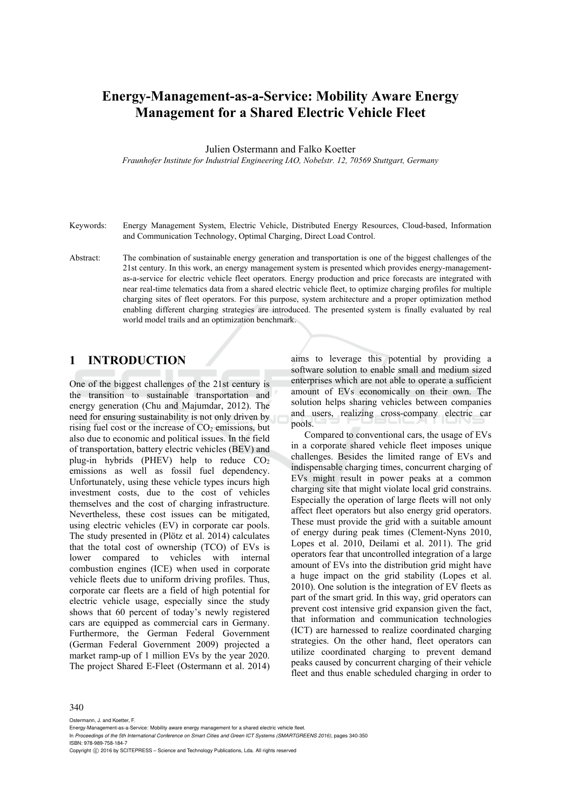# **Energy-Management-as-a-Service: Mobility Aware Energy Management for a Shared Electric Vehicle Fleet**

Julien Ostermann and Falko Koetter

*Fraunhofer Institute for Industrial Engineering IAO, Nobelstr. 12, 70569 Stuttgart, Germany* 

- Keywords: Energy Management System, Electric Vehicle, Distributed Energy Resources, Cloud-based, Information and Communication Technology, Optimal Charging, Direct Load Control.
- Abstract: The combination of sustainable energy generation and transportation is one of the biggest challenges of the 21st century. In this work, an energy management system is presented which provides energy-managementas-a-service for electric vehicle fleet operators. Energy production and price forecasts are integrated with near real-time telematics data from a shared electric vehicle fleet, to optimize charging profiles for multiple charging sites of fleet operators. For this purpose, system architecture and a proper optimization method enabling different charging strategies are introduced. The presented system is finally evaluated by real world model trails and an optimization benchmark.

#### **1 INTRODUCTION**

One of the biggest challenges of the 21st century is the transition to sustainable transportation and energy generation (Chu and Majumdar, 2012). The need for ensuring sustainability is not only driven by rising fuel cost or the increase of  $CO<sub>2</sub>$  emissions, but also due to economic and political issues. In the field of transportation, battery electric vehicles (BEV) and plug-in hybrids (PHEV) help to reduce  $CO<sub>2</sub>$ emissions as well as fossil fuel dependency. Unfortunately, using these vehicle types incurs high investment costs, due to the cost of vehicles themselves and the cost of charging infrastructure. Nevertheless, these cost issues can be mitigated, using electric vehicles (EV) in corporate car pools. The study presented in (Plötz et al. 2014) calculates that the total cost of ownership (TCO) of EVs is lower compared to vehicles with internal combustion engines (ICE) when used in corporate vehicle fleets due to uniform driving profiles. Thus, corporate car fleets are a field of high potential for electric vehicle usage, especially since the study shows that 60 percent of today's newly registered cars are equipped as commercial cars in Germany. Furthermore, the German Federal Government (German Federal Government 2009) projected a market ramp-up of 1 million EVs by the year 2020. The project Shared E-Fleet (Ostermann et al. 2014)

aims to leverage this potential by providing a software solution to enable small and medium sized enterprises which are not able to operate a sufficient amount of EVs economically on their own. The solution helps sharing vehicles between companies and users, realizing cross-company electric car pools.

Compared to conventional cars, the usage of EVs in a corporate shared vehicle fleet imposes unique challenges. Besides the limited range of EVs and indispensable charging times, concurrent charging of EVs might result in power peaks at a common charging site that might violate local grid constrains. Especially the operation of large fleets will not only affect fleet operators but also energy grid operators. These must provide the grid with a suitable amount of energy during peak times (Clement-Nyns 2010, Lopes et al. 2010, Deilami et al. 2011). The grid operators fear that uncontrolled integration of a large amount of EVs into the distribution grid might have a huge impact on the grid stability (Lopes et al. 2010). One solution is the integration of EV fleets as part of the smart grid. In this way, grid operators can prevent cost intensive grid expansion given the fact, that information and communication technologies (ICT) are harnessed to realize coordinated charging strategies. On the other hand, fleet operators can utilize coordinated charging to prevent demand peaks caused by concurrent charging of their vehicle fleet and thus enable scheduled charging in order to

#### 340

Ostermann, J. and Koetter, F.

- In *Proceedings of the 5th International Conference on Smart Cities and Green ICT Systems (SMARTGREENS 2016)*, pages 340-350 ISBN: 978-989-758-184-7
- Copyright C 2016 by SCITEPRESS Science and Technology Publications, Lda. All rights reserved

Energy-Management-as-a-Service: Mobility aware energy management for a shared electric vehicle fleet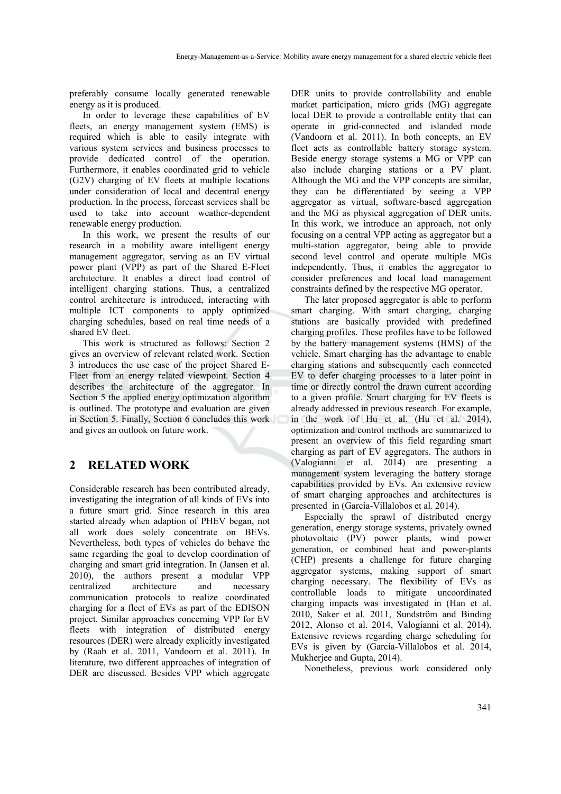preferably consume locally generated renewable energy as it is produced.

In order to leverage these capabilities of EV fleets, an energy management system (EMS) is required which is able to easily integrate with various system services and business processes to provide dedicated control of the operation. Furthermore, it enables coordinated grid to vehicle (G2V) charging of EV fleets at multiple locations under consideration of local and decentral energy production. In the process, forecast services shall be used to take into account weather-dependent renewable energy production.

In this work, we present the results of our research in a mobility aware intelligent energy management aggregator, serving as an EV virtual power plant (VPP) as part of the Shared E-Fleet architecture. It enables a direct load control of intelligent charging stations. Thus, a centralized control architecture is introduced, interacting with multiple ICT components to apply optimized charging schedules, based on real time needs of a shared EV fleet.

This work is structured as follows: Section 2 gives an overview of relevant related work. Section 3 introduces the use case of the project Shared E-Fleet from an energy related viewpoint. Section 4 describes the architecture of the aggregator. In Section 5 the applied energy optimization algorithm is outlined. The prototype and evaluation are given in Section 5. Finally, Section 6 concludes this work and gives an outlook on future work.

# **2 RELATED WORK**

Considerable research has been contributed already, investigating the integration of all kinds of EVs into a future smart grid. Since research in this area started already when adaption of PHEV began, not all work does solely concentrate on BEVs. Nevertheless, both types of vehicles do behave the same regarding the goal to develop coordination of charging and smart grid integration. In (Jansen et al. 2010), the authors present a modular VPP centralized architecture and necessary communication protocols to realize coordinated charging for a fleet of EVs as part of the EDISON project. Similar approaches concerning VPP for EV fleets with integration of distributed energy resources (DER) were already explicitly investigated by (Raab et al. 2011, Vandoorn et al. 2011). In literature, two different approaches of integration of DER are discussed. Besides VPP which aggregate

DER units to provide controllability and enable market participation, micro grids (MG) aggregate local DER to provide a controllable entity that can operate in grid-connected and islanded mode (Vandoorn et al. 2011). In both concepts, an EV fleet acts as controllable battery storage system. Beside energy storage systems a MG or VPP can also include charging stations or a PV plant. Although the MG and the VPP concepts are similar, they can be differentiated by seeing a VPP aggregator as virtual, software-based aggregation and the MG as physical aggregation of DER units. In this work, we introduce an approach, not only focusing on a central VPP acting as aggregator but a multi-station aggregator, being able to provide second level control and operate multiple MGs independently. Thus, it enables the aggregator to consider preferences and local load management constraints defined by the respective MG operator.

The later proposed aggregator is able to perform smart charging. With smart charging, charging stations are basically provided with predefined charging profiles. These profiles have to be followed by the battery management systems (BMS) of the vehicle. Smart charging has the advantage to enable charging stations and subsequently each connected EV to defer charging processes to a later point in time or directly control the drawn current according to a given profile. Smart charging for EV fleets is already addressed in previous research. For example, in the work of Hu et al. (Hu et al. 2014), optimization and control methods are summarized to present an overview of this field regarding smart charging as part of EV aggregators. The authors in (Valogianni et al. 2014) are presenting a management system leveraging the battery storage capabilities provided by EVs. An extensive review of smart charging approaches and architectures is presented in (García-Villalobos et al. 2014).

Especially the sprawl of distributed energy generation, energy storage systems, privately owned photovoltaic (PV) power plants, wind power generation, or combined heat and power-plants (CHP) presents a challenge for future charging aggregator systems, making support of smart charging necessary. The flexibility of EVs as controllable loads to mitigate uncoordinated charging impacts was investigated in (Han et al. 2010, Saker et al. 2011, Sundström and Binding 2012, Alonso et al. 2014, Valogianni et al. 2014). Extensive reviews regarding charge scheduling for EVs is given by (García-Villalobos et al. 2014, Mukherjee and Gupta, 2014).

Nonetheless, previous work considered only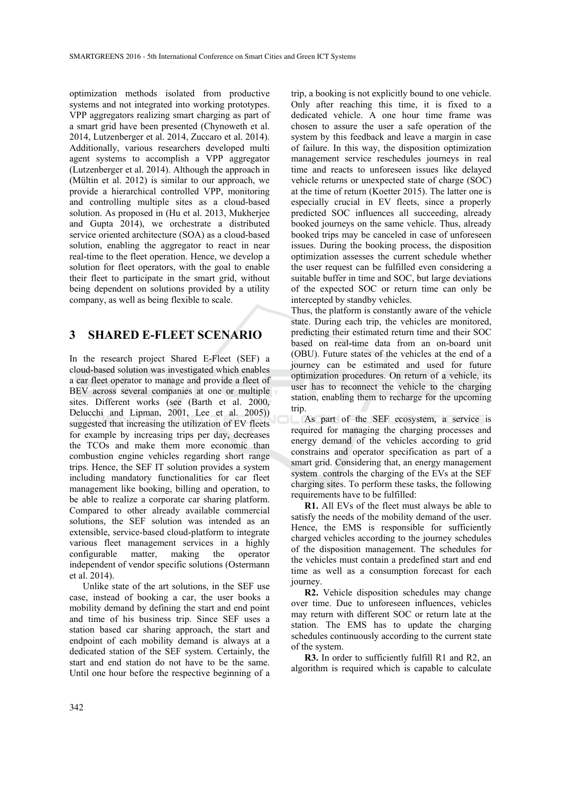optimization methods isolated from productive systems and not integrated into working prototypes. VPP aggregators realizing smart charging as part of a smart grid have been presented (Chynoweth et al. 2014, Lutzenberger et al. 2014, Zuccaro et al. 2014). Additionally, various researchers developed multi agent systems to accomplish a VPP aggregator (Lutzenberger et al. 2014). Although the approach in (Mültin et al. 2012) is similar to our approach, we provide a hierarchical controlled VPP, monitoring and controlling multiple sites as a cloud-based solution. As proposed in (Hu et al. 2013, Mukherjee and Gupta 2014), we orchestrate a distributed service oriented architecture (SOA) as a cloud-based solution, enabling the aggregator to react in near real-time to the fleet operation. Hence, we develop a solution for fleet operators, with the goal to enable their fleet to participate in the smart grid, without being dependent on solutions provided by a utility company, as well as being flexible to scale.

# **3 SHARED E-FLEET SCENARIO**

In the research project Shared E-Fleet (SEF) a cloud-based solution was investigated which enables a car fleet operator to manage and provide a fleet of BEV across several companies at one or multiple sites. Different works (see (Barth et al. 2000, Delucchi and Lipman, 2001, Lee et al. 2005)) suggested that increasing the utilization of EV fleets for example by increasing trips per day, decreases the TCOs and make them more economic than combustion engine vehicles regarding short range trips. Hence, the SEF IT solution provides a system including mandatory functionalities for car fleet management like booking, billing and operation, to be able to realize a corporate car sharing platform. Compared to other already available commercial solutions, the SEF solution was intended as an extensible, service-based cloud-platform to integrate various fleet management services in a highly configurable matter, making the operator independent of vendor specific solutions (Ostermann et al. 2014).

Unlike state of the art solutions, in the SEF use case, instead of booking a car, the user books a mobility demand by defining the start and end point and time of his business trip. Since SEF uses a station based car sharing approach, the start and endpoint of each mobility demand is always at a dedicated station of the SEF system. Certainly, the start and end station do not have to be the same. Until one hour before the respective beginning of a

trip, a booking is not explicitly bound to one vehicle. Only after reaching this time, it is fixed to a dedicated vehicle. A one hour time frame was chosen to assure the user a safe operation of the system by this feedback and leave a margin in case of failure. In this way, the disposition optimization management service reschedules journeys in real time and reacts to unforeseen issues like delayed vehicle returns or unexpected state of charge (SOC) at the time of return (Koetter 2015). The latter one is especially crucial in EV fleets, since a properly predicted SOC influences all succeeding, already booked journeys on the same vehicle. Thus, already booked trips may be canceled in case of unforeseen issues. During the booking process, the disposition optimization assesses the current schedule whether the user request can be fulfilled even considering a suitable buffer in time and SOC, but large deviations of the expected SOC or return time can only be intercepted by standby vehicles.

Thus, the platform is constantly aware of the vehicle state. During each trip, the vehicles are monitored, predicting their estimated return time and their SOC based on real-time data from an on-board unit (OBU). Future states of the vehicles at the end of a journey can be estimated and used for future optimization procedures. On return of a vehicle, its user has to reconnect the vehicle to the charging station, enabling them to recharge for the upcoming trip.

As part of the SEF ecosystem, a service is required for managing the charging processes and energy demand of the vehicles according to grid constrains and operator specification as part of a smart grid. Considering that, an energy management system controls the charging of the EVs at the SEF charging sites. To perform these tasks, the following requirements have to be fulfilled:

**R1.** All EVs of the fleet must always be able to satisfy the needs of the mobility demand of the user. Hence, the EMS is responsible for sufficiently charged vehicles according to the journey schedules of the disposition management. The schedules for the vehicles must contain a predefined start and end time as well as a consumption forecast for each journey.

**R2.** Vehicle disposition schedules may change over time. Due to unforeseen influences, vehicles may return with different SOC or return late at the station. The EMS has to update the charging schedules continuously according to the current state of the system.

**R3.** In order to sufficiently fulfill R1 and R2, an algorithm is required which is capable to calculate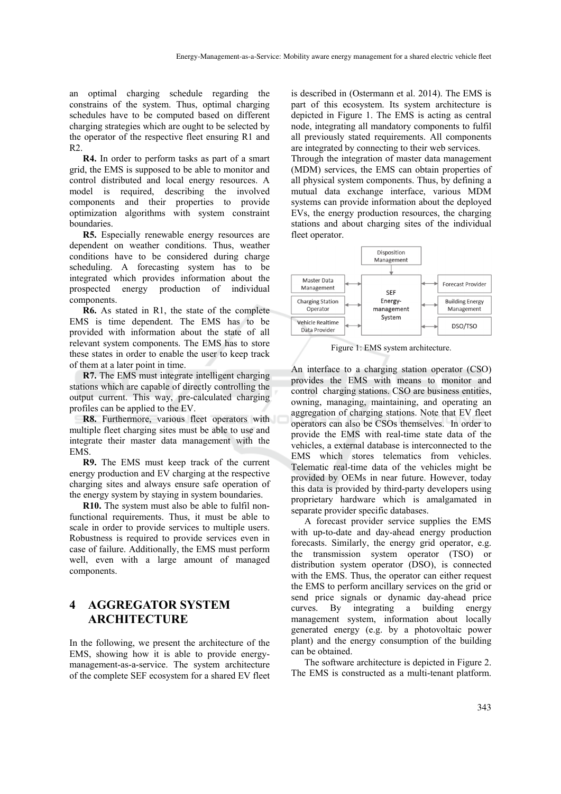an optimal charging schedule regarding the constrains of the system. Thus, optimal charging schedules have to be computed based on different charging strategies which are ought to be selected by the operator of the respective fleet ensuring R1 and  $R<sub>2</sub>$ 

**R4.** In order to perform tasks as part of a smart grid, the EMS is supposed to be able to monitor and control distributed and local energy resources. A model is required, describing the involved components and their properties to provide optimization algorithms with system constraint boundaries.

**R5.** Especially renewable energy resources are dependent on weather conditions. Thus, weather conditions have to be considered during charge scheduling. A forecasting system has to be integrated which provides information about the prospected energy production of individual components.

**R6.** As stated in R1, the state of the complete EMS is time dependent. The EMS has to be provided with information about the state of all relevant system components. The EMS has to store these states in order to enable the user to keep track of them at a later point in time.

**R7.** The EMS must integrate intelligent charging stations which are capable of directly controlling the output current. This way, pre-calculated charging profiles can be applied to the EV.

**R8.** Furthermore, various fleet operators with multiple fleet charging sites must be able to use and integrate their master data management with the EMS.

**R9.** The EMS must keep track of the current energy production and EV charging at the respective charging sites and always ensure safe operation of the energy system by staying in system boundaries.

**R10.** The system must also be able to fulfil nonfunctional requirements. Thus, it must be able to scale in order to provide services to multiple users. Robustness is required to provide services even in case of failure. Additionally, the EMS must perform well, even with a large amount of managed components.

### **4 AGGREGATOR SYSTEM ARCHITECTURE**

In the following, we present the architecture of the EMS, showing how it is able to provide energymanagement-as-a-service. The system architecture of the complete SEF ecosystem for a shared EV fleet

is described in (Ostermann et al. 2014). The EMS is part of this ecosystem. Its system architecture is depicted in Figure 1. The EMS is acting as central node, integrating all mandatory components to fulfil all previously stated requirements. All components are integrated by connecting to their web services. Through the integration of master data management (MDM) services, the EMS can obtain properties of

all physical system components. Thus, by defining a mutual data exchange interface, various MDM systems can provide information about the deployed EVs, the energy production resources, the charging stations and about charging sites of the individual fleet operator.



Figure 1: EMS system architecture.

An interface to a charging station operator (CSO) provides the EMS with means to monitor and control charging stations. CSO are business entities, owning, managing, maintaining, and operating an aggregation of charging stations. Note that EV fleet operators can also be CSOs themselves. In order to provide the EMS with real-time state data of the vehicles, a external database is interconnected to the EMS which stores telematics from vehicles. Telematic real-time data of the vehicles might be provided by OEMs in near future. However, today this data is provided by third-party developers using proprietary hardware which is amalgamated in separate provider specific databases.

A forecast provider service supplies the EMS with up-to-date and day-ahead energy production forecasts. Similarly, the energy grid operator, e.g. the transmission system operator (TSO) or distribution system operator (DSO), is connected with the EMS. Thus, the operator can either request the EMS to perform ancillary services on the grid or send price signals or dynamic day-ahead price curves. By integrating a building energy management system, information about locally generated energy (e.g. by a photovoltaic power plant) and the energy consumption of the building can be obtained.

The software architecture is depicted in Figure 2. The EMS is constructed as a multi-tenant platform.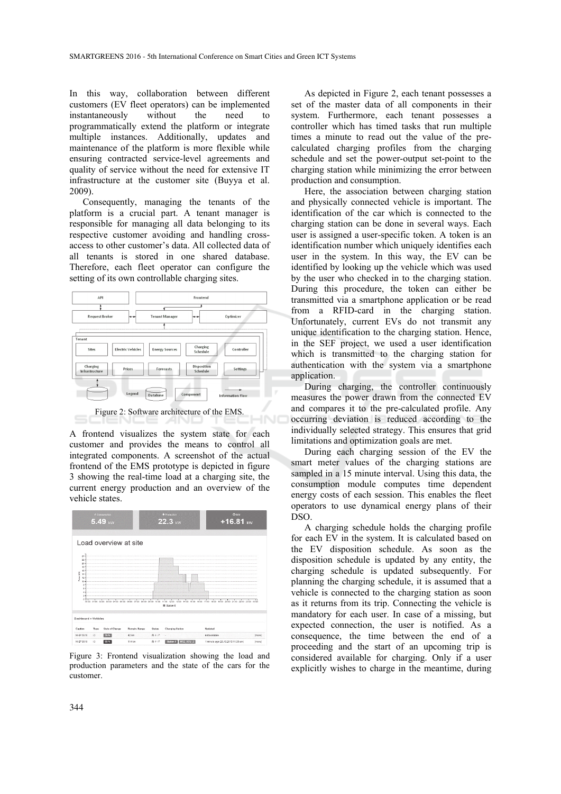In this way, collaboration between different customers (EV fleet operators) can be implemented instantaneously without the need to programmatically extend the platform or integrate multiple instances. Additionally, updates and maintenance of the platform is more flexible while ensuring contracted service-level agreements and quality of service without the need for extensive IT infrastructure at the customer site (Buyya et al. 2009).

Consequently, managing the tenants of the platform is a crucial part. A tenant manager is responsible for managing all data belonging to its respective customer avoiding and handling crossaccess to other customer's data. All collected data of all tenants is stored in one shared database. Therefore, each fleet operator can configure the setting of its own controllable charging sites.



A frontend visualizes the system state for each customer and provides the means to control all integrated components. A screenshot of the actual frontend of the EMS prototype is depicted in figure 3 showing the real-time load at a charging site, the current energy production and an overview of the vehicle states.



Figure 3: Frontend visualization showing the load and production parameters and the state of the cars for the customer.

As depicted in Figure 2, each tenant possesses a set of the master data of all components in their system. Furthermore, each tenant possesses a controller which has timed tasks that run multiple times a minute to read out the value of the precalculated charging profiles from the charging schedule and set the power-output set-point to the charging station while minimizing the error between production and consumption.

Here, the association between charging station and physically connected vehicle is important. The identification of the car which is connected to the charging station can be done in several ways. Each user is assigned a user-specific token. A token is an identification number which uniquely identifies each user in the system. In this way, the EV can be identified by looking up the vehicle which was used by the user who checked in to the charging station. During this procedure, the token can either be transmitted via a smartphone application or be read from a RFID-card in the charging station. Unfortunately, current EVs do not transmit any unique identification to the charging station. Hence, in the SEF project, we used a user identification which is transmitted to the charging station for authentication with the system via a smartphone application.

During charging, the controller continuously measures the power drawn from the connected EV and compares it to the pre-calculated profile. Any occurring deviation is reduced according to the individually selected strategy. This ensures that grid limitations and optimization goals are met.

During each charging session of the EV the smart meter values of the charging stations are sampled in a 15 minute interval. Using this data, the consumption module computes time dependent energy costs of each session. This enables the fleet operators to use dynamical energy plans of their DSO.

A charging schedule holds the charging profile for each EV in the system. It is calculated based on the EV disposition schedule. As soon as the disposition schedule is updated by any entity, the charging schedule is updated subsequently. For planning the charging schedule, it is assumed that a vehicle is connected to the charging station as soon as it returns from its trip. Connecting the vehicle is mandatory for each user. In case of a missing, but expected connection, the user is notified. As a consequence, the time between the end of a proceeding and the start of an upcoming trip is considered available for charging. Only if a user explicitly wishes to charge in the meantime, during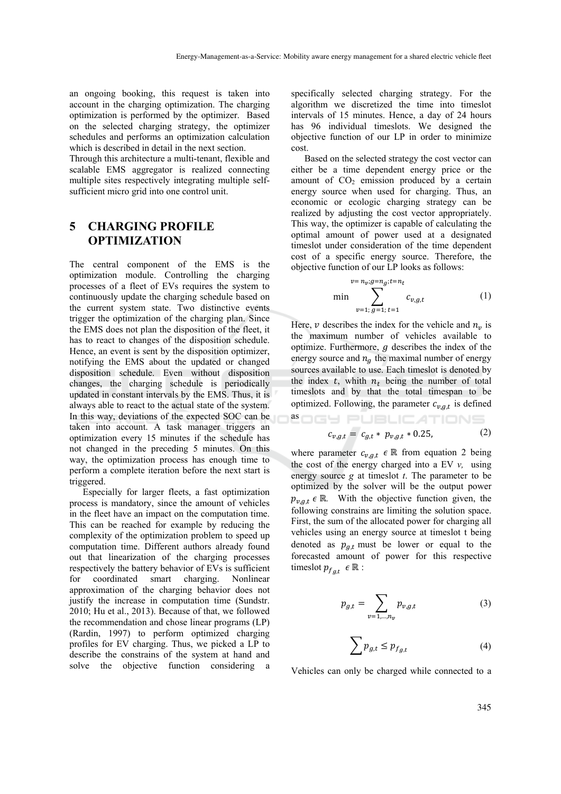an ongoing booking, this request is taken into account in the charging optimization. The charging optimization is performed by the optimizer. Based on the selected charging strategy, the optimizer schedules and performs an optimization calculation which is described in detail in the next section.

Through this architecture a multi-tenant, flexible and scalable EMS aggregator is realized connecting multiple sites respectively integrating multiple selfsufficient micro grid into one control unit.

#### **5 CHARGING PROFILE OPTIMIZATION**

The central component of the EMS is the optimization module. Controlling the charging processes of a fleet of EVs requires the system to continuously update the charging schedule based on the current system state. Two distinctive events trigger the optimization of the charging plan. Since the EMS does not plan the disposition of the fleet, it has to react to changes of the disposition schedule. Hence, an event is sent by the disposition optimizer, notifying the EMS about the updated or changed disposition schedule. Even without disposition changes, the charging schedule is periodically updated in constant intervals by the EMS. Thus, it is always able to react to the actual state of the system. In this way, deviations of the expected SOC can be taken into account. A task manager triggers an optimization every 15 minutes if the schedule has not changed in the preceding 5 minutes. On this way, the optimization process has enough time to perform a complete iteration before the next start is triggered.

Especially for larger fleets, a fast optimization process is mandatory, since the amount of vehicles in the fleet have an impact on the computation time. This can be reached for example by reducing the complexity of the optimization problem to speed up computation time. Different authors already found out that linearization of the charging processes respectively the battery behavior of EVs is sufficient for coordinated smart charging. Nonlinear approximation of the charging behavior does not justify the increase in computation time (Sundstr. 2010; Hu et al., 2013). Because of that, we followed the recommendation and chose linear programs (LP) (Rardin, 1997) to perform optimized charging profiles for EV charging. Thus, we picked a LP to describe the constrains of the system at hand and solve the objective function considering a

specifically selected charging strategy. For the algorithm we discretized the time into timeslot intervals of 15 minutes. Hence, a day of 24 hours has 96 individual timeslots. We designed the objective function of our LP in order to minimize cost.

Based on the selected strategy the cost vector can either be a time dependent energy price or the amount of  $CO<sub>2</sub>$  emission produced by a certain energy source when used for charging. Thus, an economic or ecologic charging strategy can be realized by adjusting the cost vector appropriately. This way, the optimizer is capable of calculating the optimal amount of power used at a designated timeslot under consideration of the time dependent cost of a specific energy source. Therefore, the objective function of our LP looks as follows:

$$
v = n_v; g = n_g; t = n_t
$$
  
min 
$$
\sum_{v=1; g=1; t=1}^{v=g,s=t} c_{v,g,t}
$$
 (1)

Here,  $\nu$  describes the index for the vehicle and  $n_{\nu}$  is the maximum number of vehicles available to optimize. Furthermore,  $q$  describes the index of the energy source and  $n_a$  the maximal number of energy sources available to use. Each timeslot is denoted by the index  $t$ , whith  $n_t$  being the number of total timeslots and by that the total timespan to be optimized. Following, the parameter  $c_{v,g,t}$  is defined **<sup>as</sup>OGY PUBLICATIONS** 

$$
c_{v,g,t} = c_{g,t} * p_{v,g,t} * 0.25,
$$
 (2)

where parameter  $c_{v,g,t} \in \mathbb{R}$  from equation 2 being the cost of the energy charged into a EV *v,* using energy source *g* at timeslot *t*. The parameter to be optimized by the solver will be the output power  $p_{v,a,t} \in \mathbb{R}$ . With the objective function given, the following constrains are limiting the solution space. First, the sum of the allocated power for charging all vehicles using an energy source at timeslot t being denoted as  $p_{q,t}$  must be lower or equal to the forecasted amount of power for this respective timeslot  $p_{f_{at}} \in \mathbb{R}$  :

$$
p_{g,t} = \sum_{v=1,...,n_v} p_{v,g,t}
$$
 (3)

$$
\sum p_{g,t} \le p_{f_{g,t}} \tag{4}
$$

Vehicles can only be charged while connected to a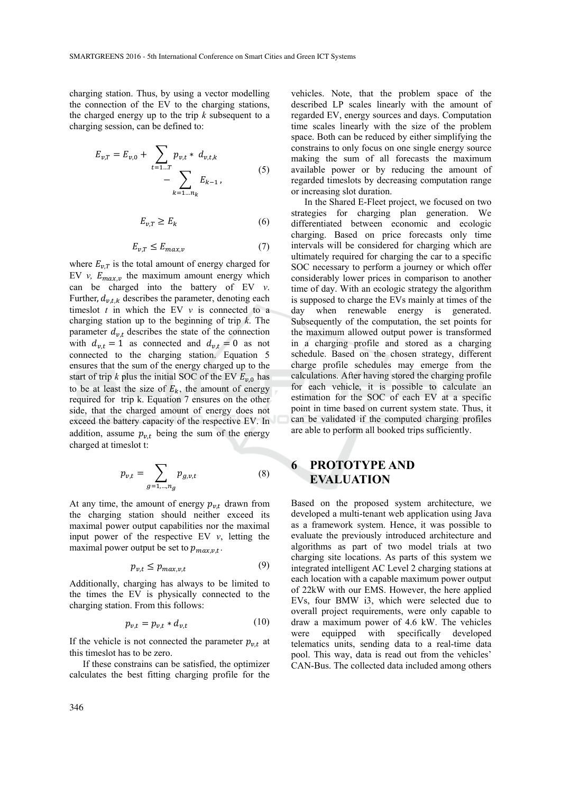charging station. Thus, by using a vector modelling the connection of the EV to the charging stations, the charged energy up to the trip *k* subsequent to a charging session, can be defined to:

$$
E_{v,T} = E_{v,0} + \sum_{t=1...T} p_{v,t} * d_{v,t,k} - \sum_{k=1...n_k} E_{k-1},
$$
 (5)

$$
E_{v,T} \ge E_k \tag{6}
$$

$$
E_{\nu,T} \le E_{\max,\nu} \tag{7}
$$

where  $E_{\nu T}$  is the total amount of energy charged for EV *v,*  $E_{maxv}$  the maximum amount energy which can be charged into the battery of EV *v*. Further,  $d_{v,t,k}$  describes the parameter, denoting each timeslot  $t$  in which the EV  $v$  is connected to a charging station up to the beginning of trip *k*. The parameter  $d_{v,t}$  describes the state of the connection with  $d_{v,t} = 1$  as connected and  $d_{v,t} = 0$  as not connected to the charging station. Equation 5 ensures that the sum of the energy charged up to the start of trip  $k$  plus the initial SOC of the EV  $E_{\nu,0}$  has to be at least the size of  $E_k$ , the amount of energy required for trip k. Equation 7 ensures on the other side, that the charged amount of energy does not exceed the battery capacity of the respective EV. In addition, assume  $p_{v,t}$  being the sum of the energy charged at timeslot t:

$$
p_{v,t} = \sum_{g=1,\dots,n_g} p_{g,v,t}
$$
 (8)

At any time, the amount of energy  $p_{v,t}$  drawn from the charging station should neither exceed its maximal power output capabilities nor the maximal input power of the respective EV *v*, letting the maximal power output be set to  $p_{max.v.t.}$ .

$$
p_{v,t} \le p_{max,v,t} \tag{9}
$$

Additionally, charging has always to be limited to the times the EV is physically connected to the charging station. From this follows:

$$
p_{v,t} = p_{v,t} * d_{v,t} \tag{10}
$$

If the vehicle is not connected the parameter  $p_{v,t}$  at this timeslot has to be zero.

If these constrains can be satisfied, the optimizer calculates the best fitting charging profile for the

vehicles. Note, that the problem space of the described LP scales linearly with the amount of regarded EV, energy sources and days. Computation time scales linearly with the size of the problem space. Both can be reduced by either simplifying the constrains to only focus on one single energy source making the sum of all forecasts the maximum available power or by reducing the amount of regarded timeslots by decreasing computation range or increasing slot duration.

In the Shared E-Fleet project, we focused on two strategies for charging plan generation. We differentiated between economic and ecologic charging. Based on price forecasts only time intervals will be considered for charging which are ultimately required for charging the car to a specific SOC necessary to perform a journey or which offer considerably lower prices in comparison to another time of day. With an ecologic strategy the algorithm is supposed to charge the EVs mainly at times of the day when renewable energy is generated. Subsequently of the computation, the set points for the maximum allowed output power is transformed in a charging profile and stored as a charging schedule. Based on the chosen strategy, different charge profile schedules may emerge from the calculations. After having stored the charging profile for each vehicle, it is possible to calculate an estimation for the SOC of each EV at a specific point in time based on current system state. Thus, it can be validated if the computed charging profiles are able to perform all booked trips sufficiently.

### **6 PROTOTYPE AND EVALUATION**

Based on the proposed system architecture, we developed a multi-tenant web application using Java as a framework system. Hence, it was possible to evaluate the previously introduced architecture and algorithms as part of two model trials at two charging site locations. As parts of this system we integrated intelligent AC Level 2 charging stations at each location with a capable maximum power output of 22kW with our EMS. However, the here applied EVs, four BMW i3, which were selected due to overall project requirements, were only capable to draw a maximum power of 4.6 kW. The vehicles were equipped with specifically developed telematics units, sending data to a real-time data pool. This way, data is read out from the vehicles' CAN-Bus. The collected data included among others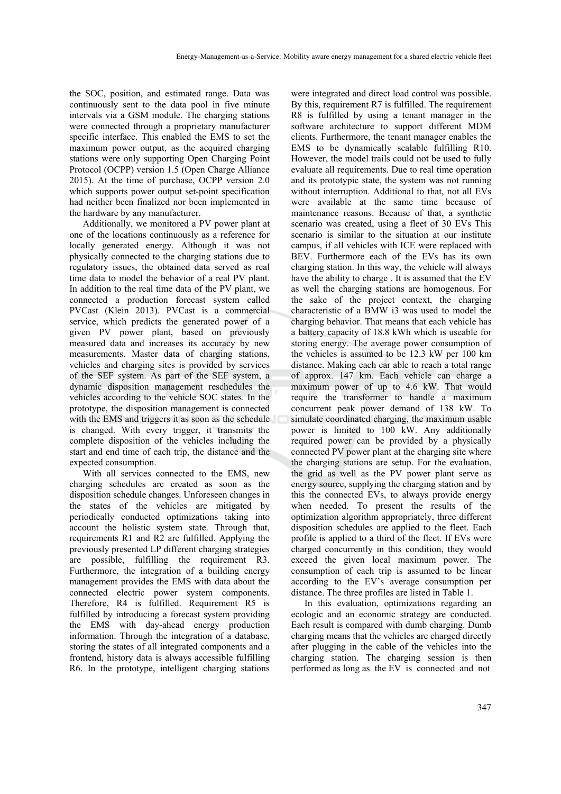the SOC, position, and estimated range. Data was continuously sent to the data pool in five minute intervals via a GSM module. The charging stations were connected through a proprietary manufacturer specific interface. This enabled the EMS to set the maximum power output, as the acquired charging stations were only supporting Open Charging Point Protocol (OCPP) version 1.5 (Open Charge Alliance 2015). At the time of purchase, OCPP version 2.0 which supports power output set-point specification had neither been finalized nor been implemented in the hardware by any manufacturer.

Additionally, we monitored a PV power plant at one of the locations continuously as a reference for locally generated energy. Although it was not physically connected to the charging stations due to regulatory issues, the obtained data served as real time data to model the behavior of a real PV plant. In addition to the real time data of the PV plant, we connected a production forecast system called PVCast (Klein 2013). PVCast is a commercial service, which predicts the generated power of a given PV power plant, based on previously measured data and increases its accuracy by new measurements. Master data of charging stations, vehicles and charging sites is provided by services of the SEF system. As part of the SEF system, a dynamic disposition management reschedules the vehicles according to the vehicle SOC states. In the prototype, the disposition management is connected with the EMS and triggers it as soon as the schedule is changed. With every trigger, it transmits the complete disposition of the vehicles including the start and end time of each trip, the distance and the expected consumption.

With all services connected to the EMS, new charging schedules are created as soon as the disposition schedule changes. Unforeseen changes in the states of the vehicles are mitigated by periodically conducted optimizations taking into account the holistic system state. Through that, requirements R1 and R2 are fulfilled. Applying the previously presented LP different charging strategies are possible, fulfilling the requirement R3. Furthermore, the integration of a building energy management provides the EMS with data about the connected electric power system components. Therefore, R4 is fulfilled. Requirement R5 is fulfilled by introducing a forecast system providing the EMS with day-ahead energy production information. Through the integration of a database, storing the states of all integrated components and a frontend, history data is always accessible fulfilling R6. In the prototype, intelligent charging stations

were integrated and direct load control was possible. By this, requirement R7 is fulfilled. The requirement R8 is fulfilled by using a tenant manager in the software architecture to support different MDM clients. Furthermore, the tenant manager enables the EMS to be dynamically scalable fulfilling R10. However, the model trails could not be used to fully evaluate all requirements. Due to real time operation and its prototypic state, the system was not running without interruption. Additional to that, not all EVs were available at the same time because of maintenance reasons. Because of that, a synthetic scenario was created, using a fleet of 30 EVs This scenario is similar to the situation at our institute campus, if all vehicles with ICE were replaced with BEV. Furthermore each of the EVs has its own charging station. In this way, the vehicle will always have the ability to charge . It is assumed that the EV as well the charging stations are homogenous. For the sake of the project context, the charging characteristic of a BMW i3 was used to model the charging behavior. That means that each vehicle has a battery capacity of 18.8 kWh which is useable for storing energy. The average power consumption of the vehicles is assumed to be 12.3 kW per 100 km distance. Making each car able to reach a total range of approx. 147 km. Each vehicle can charge a maximum power of up to 4.6 kW. That would require the transformer to handle a maximum concurrent peak power demand of 138 kW. To simulate coordinated charging, the maximum usable power is limited to 100 kW. Any additionally required power can be provided by a physically connected PV power plant at the charging site where the charging stations are setup. For the evaluation, the grid as well as the PV power plant serve as energy source, supplying the charging station and by this the connected EVs, to always provide energy when needed. To present the results of the optimization algorithm appropriately, three different disposition schedules are applied to the fleet. Each profile is applied to a third of the fleet. If EVs were charged concurrently in this condition, they would exceed the given local maximum power. The consumption of each trip is assumed to be linear according to the EV's average consumption per distance. The three profiles are listed in Table 1.

In this evaluation, optimizations regarding an ecologic and an economic strategy are conducted. Each result is compared with dumb charging. Dumb charging means that the vehicles are charged directly after plugging in the cable of the vehicles into the charging station. The charging session is then performed as long as the EV is connected and not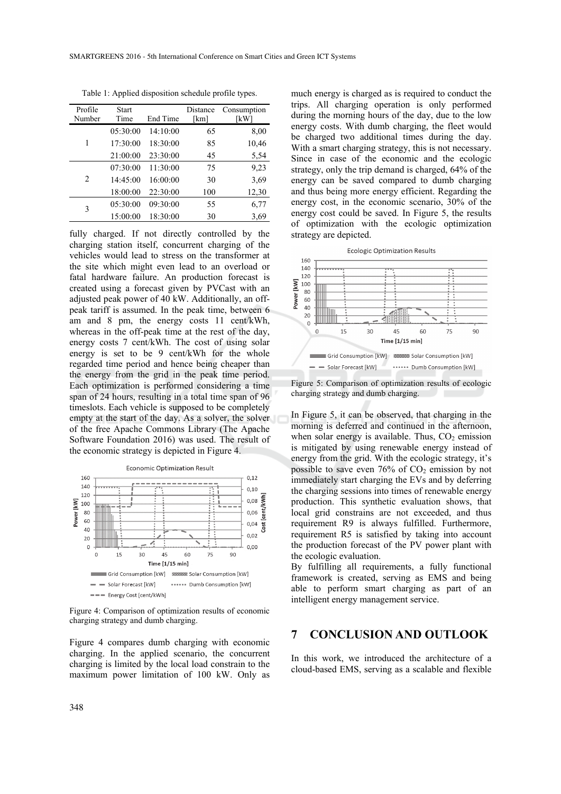| Profile<br>Number             | <b>Start</b><br>Time | End Time | Distance<br>[km] | Consumption<br>[kW] |
|-------------------------------|----------------------|----------|------------------|---------------------|
|                               |                      |          |                  |                     |
| 1                             | 05:30:00             | 14:10:00 | 65               | 8,00                |
|                               | 17:30:00             | 18:30:00 | 85               | 10,46               |
|                               | 21:00:00             | 23:30:00 | 45               | 5,54                |
| $\mathfrak{D}_{\mathfrak{p}}$ | 07:30:00             | 11:30:00 | 75               | 9,23                |
|                               | 14:45:00             | 16:00:00 | 30               | 3,69                |
|                               | 18:00:00             | 22:30:00 | 100              | 12,30               |
| 3                             | 05:30:00             | 09:30:00 | 55               | 6,77                |
|                               | 15:00:00             | 18:30:00 | 30               | 3.69                |

Table 1: Applied disposition schedule profile types.

fully charged. If not directly controlled by the charging station itself, concurrent charging of the vehicles would lead to stress on the transformer at the site which might even lead to an overload or fatal hardware failure. An production forecast is created using a forecast given by PVCast with an adjusted peak power of 40 kW. Additionally, an offpeak tariff is assumed. In the peak time, between 6 am and 8 pm, the energy costs 11 cent/kWh, whereas in the off-peak time at the rest of the day, energy costs 7 cent/kWh. The cost of using solar energy is set to be 9 cent/kWh for the whole regarded time period and hence being cheaper than the energy from the grid in the peak time period. Each optimization is performed considering a time span of 24 hours, resulting in a total time span of 96 timeslots. Each vehicle is supposed to be completely empty at the start of the day. As a solver, the solver of the free Apache Commons Library (The Apache Software Foundation 2016) was used. The result of the economic strategy is depicted in Figure 4.



Figure 4: Comparison of optimization results of economic charging strategy and dumb charging.

Figure 4 compares dumb charging with economic charging. In the applied scenario, the concurrent charging is limited by the local load constrain to the maximum power limitation of 100 kW. Only as

much energy is charged as is required to conduct the trips. All charging operation is only performed during the morning hours of the day, due to the low energy costs. With dumb charging, the fleet would be charged two additional times during the day. With a smart charging strategy, this is not necessary. Since in case of the economic and the ecologic strategy, only the trip demand is charged, 64% of the energy can be saved compared to dumb charging and thus being more energy efficient. Regarding the energy cost, in the economic scenario, 30% of the energy cost could be saved. In Figure 5, the results of optimization with the ecologic optimization strategy are depicted.



Figure 5: Comparison of optimization results of ecologic charging strategy and dumb charging.

In Figure 5, it can be observed, that charging in the morning is deferred and continued in the afternoon, when solar energy is available. Thus,  $CO<sub>2</sub>$  emission is mitigated by using renewable energy instead of energy from the grid. With the ecologic strategy, it's possible to save even  $76\%$  of  $CO<sub>2</sub>$  emission by not immediately start charging the EVs and by deferring the charging sessions into times of renewable energy production. This synthetic evaluation shows, that local grid constrains are not exceeded, and thus requirement R9 is always fulfilled. Furthermore, requirement R5 is satisfied by taking into account the production forecast of the PV power plant with the ecologic evaluation.

By fulfilling all requirements, a fully functional framework is created, serving as EMS and being able to perform smart charging as part of an intelligent energy management service.

#### **7 CONCLUSION AND OUTLOOK**

In this work, we introduced the architecture of a cloud-based EMS, serving as a scalable and flexible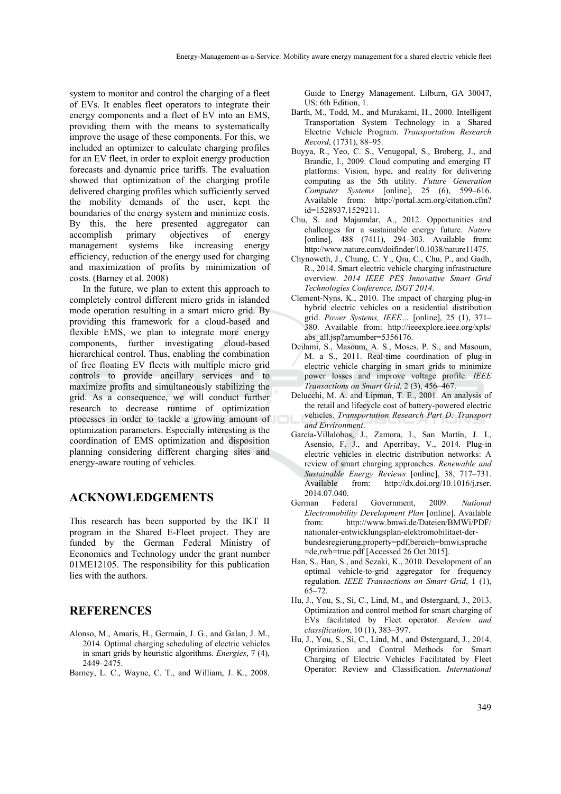system to monitor and control the charging of a fleet of EVs. It enables fleet operators to integrate their energy components and a fleet of EV into an EMS, providing them with the means to systematically improve the usage of these components. For this, we included an optimizer to calculate charging profiles for an EV fleet, in order to exploit energy production forecasts and dynamic price tariffs. The evaluation showed that optimization of the charging profile delivered charging profiles which sufficiently served the mobility demands of the user, kept the boundaries of the energy system and minimize costs. By this, the here presented aggregator can accomplish primary objectives of energy management systems like increasing energy efficiency, reduction of the energy used for charging and maximization of profits by minimization of costs. (Barney et al. 2008)

In the future, we plan to extent this approach to completely control different micro grids in islanded mode operation resulting in a smart micro grid. By providing this framework for a cloud-based and flexible EMS, we plan to integrate more energy components, further investigating cloud-based hierarchical control. Thus, enabling the combination of free floating EV fleets with multiple micro grid controls to provide ancillary services and to maximize profits and simultaneously stabilizing the grid. As a consequence, we will conduct further research to decrease runtime of optimization processes in order to tackle a growing amount of optimization parameters. Especially interesting is the coordination of EMS optimization and disposition planning considering different charging sites and energy-aware routing of vehicles.

#### **ACKNOWLEDGEMENTS**

This research has been supported by the IKT II program in the Shared E-Fleet project. They are funded by the German Federal Ministry of Economics and Technology under the grant number 01ME12105. The responsibility for this publication lies with the authors.

#### **REFERENCES**

- Alonso, M., Amaris, H., Germain, J. G., and Galan, J. M., 2014. Optimal charging scheduling of electric vehicles in smart grids by heuristic algorithms. *Energies*, 7 (4), 2449–2475.
- Barney, L. C., Wayne, C. T., and William, J. K., 2008.

Guide to Energy Management. Lilburn, GA 30047, US: 6th Edition, 1.

- Barth, M., Todd, M., and Murakami, H., 2000. Intelligent Transportation System Technology in a Shared Electric Vehicle Program. *Transportation Research Record*, (1731), 88–95.
- Buyya, R., Yeo, C. S., Venugopal, S., Broberg, J., and Brandic, I., 2009. Cloud computing and emerging IT platforms: Vision, hype, and reality for delivering computing as the 5th utility. *Future Generation Computer Systems* [online], 25 (6), 599–616. Available from: http://portal.acm.org/citation.cfm? id=1528937.1529211.
- Chu, S. and Majumdar, A., 2012. Opportunities and challenges for a sustainable energy future. *Nature* [online], 488 (7411), 294-303. Available from: http://www.nature.com/doifinder/10.1038/nature11475.
- Chynoweth, J., Chung, C. Y., Qiu, C., Chu, P., and Gadh, R., 2014. Smart electric vehicle charging infrastructure overview. *2014 IEEE PES Innovative Smart Grid Technologies Conference, ISGT 2014*.
- Clement-Nyns, K., 2010. The impact of charging plug-in hybrid electric vehicles on a residential distribution grid. *Power Systems, IEEE…* [online], 25 (1), 371– 380. Available from: http://ieeexplore.ieee.org/xpls/ abs\_all.jsp?arnumber=5356176.
- Deilami, S., Masoum, A. S., Moses, P. S., and Masoum, M. a S., 2011. Real-time coordination of plug-in electric vehicle charging in smart grids to minimize power losses and improve voltage profile. *IEEE Transactions on Smart Grid*, 2 (3), 456–467.
- Delucchi, M. A. and Lipman, T. E., 2001. An analysis of the retail and lifecycle cost of battery-powered electric vehicles. *Transportation Research Part D: Transport and Environment*.
- García-Villalobos, J., Zamora, I., San Martín, J. I., Asensio, F. J., and Aperribay, V., 2014. Plug-in electric vehicles in electric distribution networks: A review of smart charging approaches. *Renewable and Sustainable Energy Reviews* [online], 38, 717–731. Available from: http://dx.doi.org/10.1016/j.rser. 2014.07.040.
- German Federal Government, 2009. *National Electromobility Development Plan* [online]. Available from: http://www.bmwi.de/Dateien/BMWi/PDF/ nationaler-entwicklungsplan-elektromobilitaet-derbundesregierung,property=pdf,bereich=bmwi,sprache =de,rwb=true.pdf [Accessed 26 Oct 2015].
- Han, S., Han, S., and Sezaki, K., 2010. Development of an optimal vehicle-to-grid aggregator for frequency regulation. *IEEE Transactions on Smart Grid*, 1 (1), 65–72.
- Hu, J., You, S., Si, C., Lind, M., and Østergaard, J., 2013. Optimization and control method for smart charging of EVs facilitated by Fleet operator. *Review and classification*, 10 (1), 383–397.
- Hu, J., You, S., Si, C., Lind, M., and Østergaard, J., 2014. Optimization and Control Methods for Smart Charging of Electric Vehicles Facilitated by Fleet Operator: Review and Classification. *International*